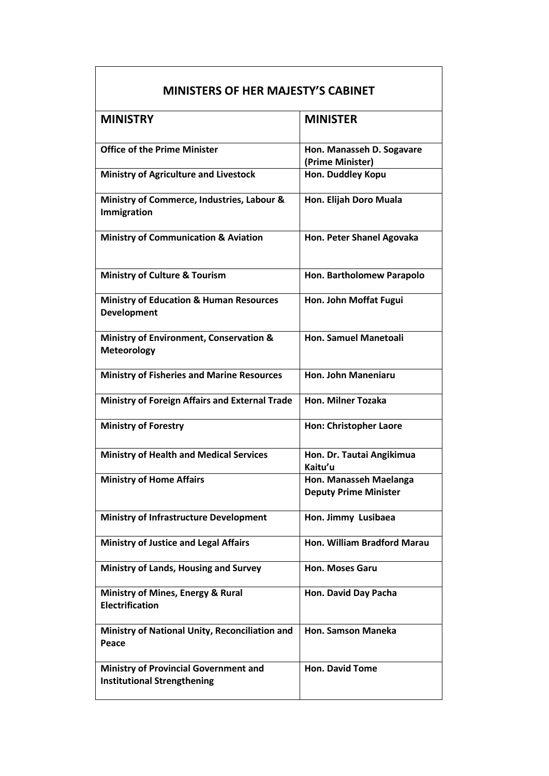| <b>MINISTERS OF HER MAJESTY'S CABINET</b>                                          |                                                        |
|------------------------------------------------------------------------------------|--------------------------------------------------------|
| <b>MINISTRY</b>                                                                    | <b>MINISTER</b>                                        |
| <b>Office of the Prime Minister</b>                                                | Hon. Manasseh D. Sogavare<br>(Prime Minister)          |
| <b>Ministry of Agriculture and Livestock</b>                                       | Hon. Duddley Kopu                                      |
| Ministry of Commerce, Industries, Labour &<br>Immigration                          | Hon. Elijah Doro Muala                                 |
| <b>Ministry of Communication &amp; Aviation</b>                                    | Hon. Peter Shanel Agovaka                              |
| <b>Ministry of Culture &amp; Tourism</b>                                           | Hon. Bartholomew Parapolo                              |
| <b>Ministry of Education &amp; Human Resources</b><br><b>Development</b>           | Hon. John Moffat Fugui                                 |
| Ministry of Environment, Conservation &<br>Meteorology                             | <b>Hon. Samuel Manetoali</b>                           |
| <b>Ministry of Fisheries and Marine Resources</b>                                  | Hon. John Maneniaru                                    |
| <b>Ministry of Foreign Affairs and External Trade</b>                              | <b>Hon. Milner Tozaka</b>                              |
| <b>Ministry of Forestry</b>                                                        | <b>Hon: Christopher Laore</b>                          |
| <b>Ministry of Health and Medical Services</b>                                     | Hon. Dr. Tautai Angikimua<br>Kaitu'u                   |
| <b>Ministry of Home Affairs</b>                                                    | Hon. Manasseh Maelanga<br><b>Deputy Prime Minister</b> |
| <b>Ministry of Infrastructure Development</b>                                      | Hon. Jimmy Lusibaea                                    |
| <b>Ministry of Justice and Legal Affairs</b>                                       | Hon. William Bradford Marau                            |
| <b>Ministry of Lands, Housing and Survey</b>                                       | Hon. Moses Garu                                        |
| Ministry of Mines, Energy & Rural<br><b>Electrification</b>                        | Hon. David Day Pacha                                   |
| Ministry of National Unity, Reconciliation and<br>Peace                            | Hon. Samson Maneka                                     |
| <b>Ministry of Provincial Government and</b><br><b>Institutional Strengthening</b> | <b>Hon. David Tome</b>                                 |